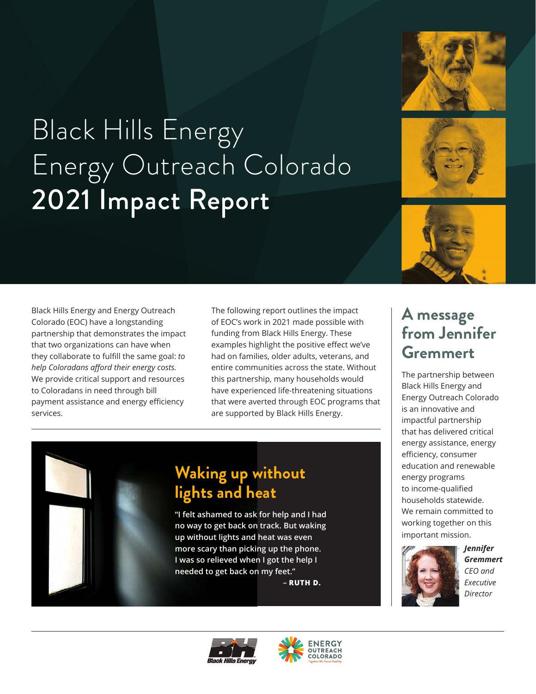

# Black Hills Energy Energy Outreach Colorado 2021 Impact Report



Black Hills Energy and Energy Outreach Colorado (EOC) have a longstanding partnership that demonstrates the impact that two organizations can have when they collaborate to fulfill the same goal: *to help Coloradans afford their energy costs.* We provide critical support and resources to Coloradans in need through bill payment assistance and energy efficiency services.

The following report outlines the impact of EOC's work in 2021 made possible with funding from Black Hills Energy. These examples highlight the positive effect we've had on families, older adults, veterans, and entire communities across the state. Without this partnership, many households would have experienced life-threatening situations that were averted through EOC programs that are supported by Black Hills Energy.

### **Waking up without lights and heat**

**"I felt ashamed to ask for help and I had no way to get back on track. But waking up without lights and heat was even more scary than picking up the phone. I was so relieved when I got the help I needed to get back on my feet."** 

**– RUTH D.**

### **A message from Jennifer Gremmert**

The partnership between Black Hills Energy and Energy Outreach Colorado is an innovative and impactful partnership that has delivered critical energy assistance, energy efficiency, consumer education and renewable energy programs to income-qualified households statewide. We remain committed to working together on this important mission.



*Jennifer Gremmert CEO and Executive Director*



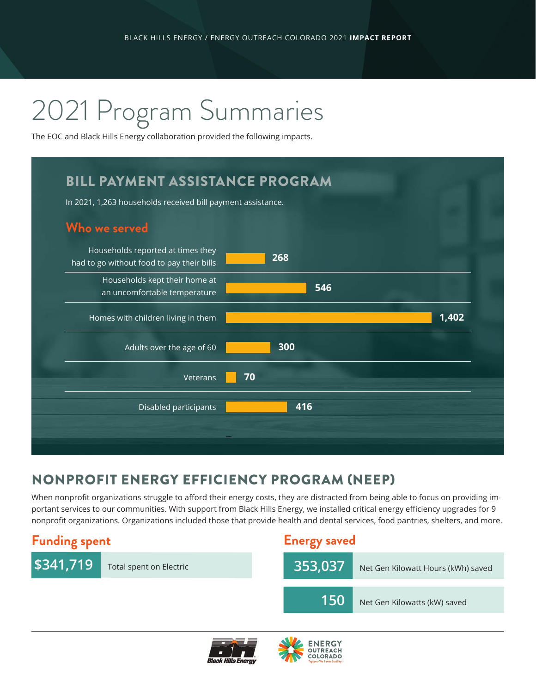# 2021 Program Summaries

The EOC and Black Hills Energy collaboration provided the following impacts.

## BILL PAYMENT ASSISTANCE PROGRAM In 2021, 1,263 households received bill payment assistance. **Who we served** Households reported at times they had to go without food to pay their bills **268** Households kept their home at an uncomfortable temperature **546** Homes with children living in them **1,402** Adults over the age of 60 **300** Veterans **70** Disabled participants **416**

### NONPROFIT ENERGY EFFICIENCY PROGRAM (NEEP)

When nonprofit organizations struggle to afford their energy costs, they are distracted from being able to focus on providing important services to our communities. With support from Black Hills Energy, we installed critical energy efficiency upgrades for 9 nonprofit organizations. Organizations included those that provide health and dental services, food pantries, shelters, and more.





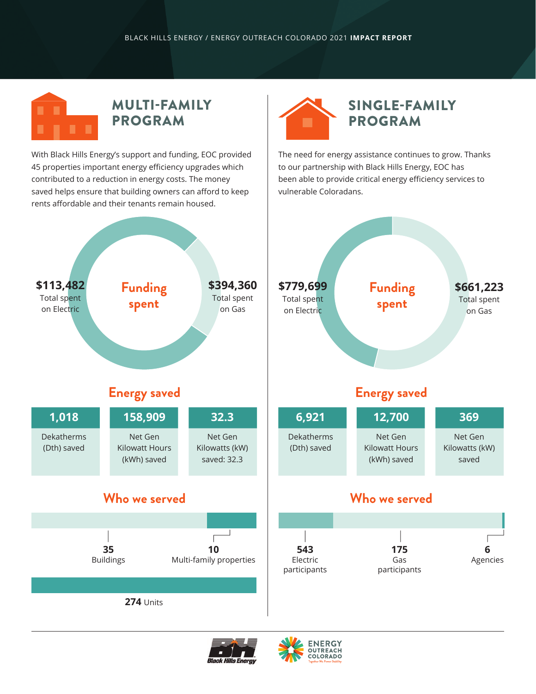

With Black Hills Energy's support and funding, EOC provided 45 properties important energy efficiency upgrades which contributed to a reduction in energy costs. The money saved helps ensure that building owners can afford to keep rents affordable and their tenants remain housed.



The need for energy assistance continues to grow. Thanks to our partnership with Black Hills Energy, EOC has been able to provide critical energy efficiency services to vulnerable Coloradans.